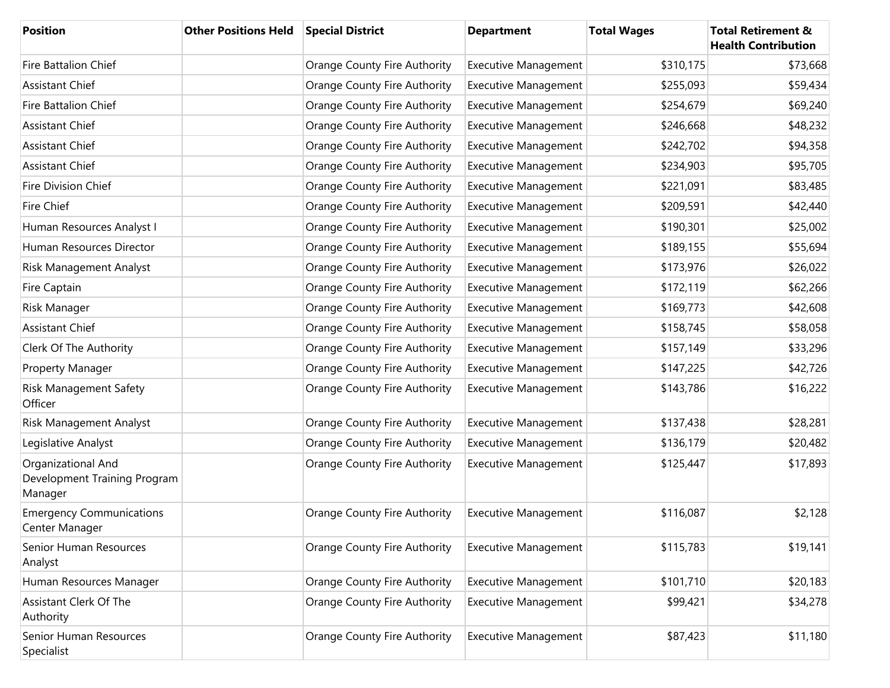| <b>Position</b>                                               | <b>Other Positions Held</b> | <b>Special District</b>             | <b>Department</b>           | <b>Total Wages</b> | <b>Total Retirement &amp;</b><br><b>Health Contribution</b> |
|---------------------------------------------------------------|-----------------------------|-------------------------------------|-----------------------------|--------------------|-------------------------------------------------------------|
| <b>Fire Battalion Chief</b>                                   |                             | Orange County Fire Authority        | <b>Executive Management</b> | \$310,175          | \$73,668                                                    |
| <b>Assistant Chief</b>                                        |                             | <b>Orange County Fire Authority</b> | <b>Executive Management</b> | \$255,093          | \$59,434                                                    |
| Fire Battalion Chief                                          |                             | Orange County Fire Authority        | <b>Executive Management</b> | \$254,679          | \$69,240                                                    |
| <b>Assistant Chief</b>                                        |                             | Orange County Fire Authority        | <b>Executive Management</b> | \$246,668          | \$48,232                                                    |
| Assistant Chief                                               |                             | Orange County Fire Authority        | <b>Executive Management</b> | \$242,702          | \$94,358                                                    |
| <b>Assistant Chief</b>                                        |                             | Orange County Fire Authority        | <b>Executive Management</b> | \$234,903          | \$95,705                                                    |
| Fire Division Chief                                           |                             | Orange County Fire Authority        | <b>Executive Management</b> | \$221,091          | \$83,485                                                    |
| Fire Chief                                                    |                             | Orange County Fire Authority        | <b>Executive Management</b> | \$209,591          | \$42,440                                                    |
| Human Resources Analyst I                                     |                             | Orange County Fire Authority        | <b>Executive Management</b> | \$190,301          | \$25,002                                                    |
| Human Resources Director                                      |                             | Orange County Fire Authority        | <b>Executive Management</b> | \$189,155          | \$55,694                                                    |
| Risk Management Analyst                                       |                             | Orange County Fire Authority        | <b>Executive Management</b> | \$173,976          | \$26,022                                                    |
| Fire Captain                                                  |                             | Orange County Fire Authority        | <b>Executive Management</b> | \$172,119          | \$62,266                                                    |
| Risk Manager                                                  |                             | Orange County Fire Authority        | <b>Executive Management</b> | \$169,773          | \$42,608                                                    |
| <b>Assistant Chief</b>                                        |                             | Orange County Fire Authority        | <b>Executive Management</b> | \$158,745          | \$58,058                                                    |
| Clerk Of The Authority                                        |                             | Orange County Fire Authority        | <b>Executive Management</b> | \$157,149          | \$33,296                                                    |
| Property Manager                                              |                             | Orange County Fire Authority        | <b>Executive Management</b> | \$147,225          | \$42,726                                                    |
| Risk Management Safety<br>Officer                             |                             | Orange County Fire Authority        | <b>Executive Management</b> | \$143,786          | \$16,222                                                    |
| Risk Management Analyst                                       |                             | Orange County Fire Authority        | <b>Executive Management</b> | \$137,438          | \$28,281                                                    |
| Legislative Analyst                                           |                             | Orange County Fire Authority        | <b>Executive Management</b> | \$136,179          | \$20,482                                                    |
| Organizational And<br>Development Training Program<br>Manager |                             | Orange County Fire Authority        | <b>Executive Management</b> | \$125,447          | \$17,893                                                    |
| <b>Emergency Communications</b><br>Center Manager             |                             | Orange County Fire Authority        | <b>Executive Management</b> | \$116,087          | \$2,128                                                     |
| Senior Human Resources<br>Analyst                             |                             | Orange County Fire Authority        | <b>Executive Management</b> | \$115,783          | \$19,141                                                    |
| Human Resources Manager                                       |                             | Orange County Fire Authority        | <b>Executive Management</b> | \$101,710          | \$20,183                                                    |
| <b>Assistant Clerk Of The</b><br>Authority                    |                             | Orange County Fire Authority        | <b>Executive Management</b> | \$99,421           | \$34,278                                                    |
| Senior Human Resources<br>Specialist                          |                             | Orange County Fire Authority        | <b>Executive Management</b> | \$87,423           | \$11,180                                                    |